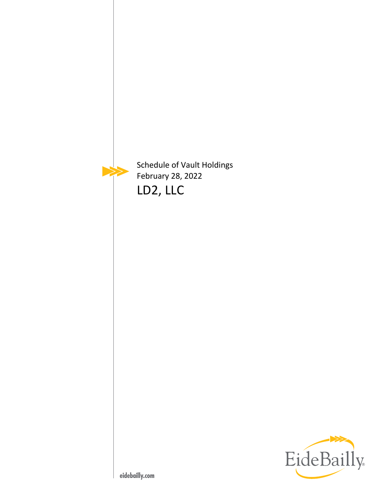

Schedule of Vault Holdings February 28, 2022 LD2, LLC

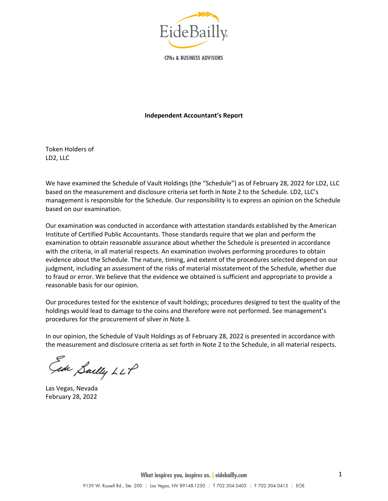

**CPAs & BUSINESS ADVISORS** 

#### **Independent Accountant's Report**

Token Holders of LD2, LLC

We have examined the Schedule of Vault Holdings (the "Schedule") as of February 28, 2022 for LD2, LLC based on the measurement and disclosure criteria set forth in Note 2 to the Schedule. LD2, LLC's management is responsible for the Schedule. Our responsibility is to express an opinion on the Schedule based on our examination.

Our examination was conducted in accordance with attestation standards established by the American Institute of Certified Public Accountants. Those standards require that we plan and perform the examination to obtain reasonable assurance about whether the Schedule is presented in accordance with the criteria, in all material respects. An examination involves performing procedures to obtain evidence about the Schedule. The nature, timing, and extent of the procedures selected depend on our judgment, including an assessment of the risks of material misstatement of the Schedule, whether due to fraud or error. We believe that the evidence we obtained is sufficient and appropriate to provide a reasonable basis for our opinion.

Our procedures tested for the existence of vault holdings; procedures designed to test the quality of the holdings would lead to damage to the coins and therefore were not performed. See management's procedures for the procurement of silver in Note 3.

In our opinion, the Schedule of Vault Holdings as of February 28, 2022 is presented in accordance with the measurement and disclosure criteria as set forth in Note 2 to the Schedule, in all material respects.

Face Sailly LLP

Las Vegas, Nevada February 28, 2022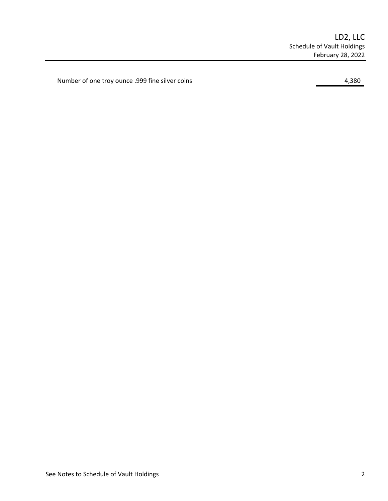Number of one troy ounce .999 fine silver coins 4,380